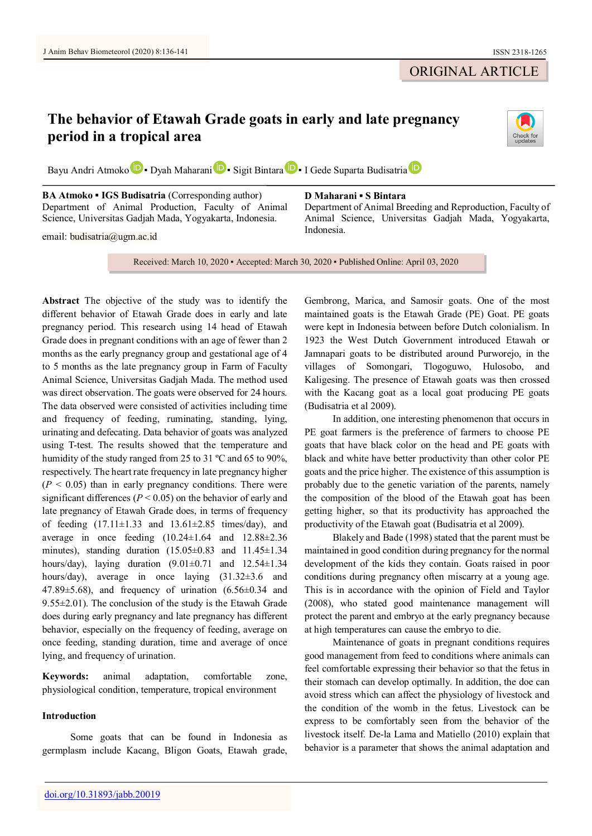# ORIGINAL ARTICLE

# **The behavior of Etawah Grade goats in early and late pregnancy period in a tropical area**



Bayu Andri Atm[o](https://orcid.org/0000-0002-2311-2529)ko **D** • Dyah Maharan[i](https://orcid.org/0000-0003-2446-462X) **D** • Sigit Bint[a](https://orcid.org/0000-0001-8968-9227)ra **D** • I Gede Suparta Budisatria **D** 

**BA Atmoko ▪ IGS Budisatria** (Corresponding author) Department of Animal Production, Faculty of Animal Science, Universitas Gadjah Mada, Yogyakarta, Indonesia.

email: budisatria@ugm.ac.id

#### **D Maharani ▪ S Bintara**

Department of Animal Breeding and Reproduction, Faculty of Animal Science, Universitas Gadjah Mada, Yogyakarta, Indonesia.

Received: March 10, 2020 ▪ Accepted: March 30, 2020 ▪ Published Online: April 03, 2020

**Abstract** The objective of the study was to identify the different behavior of Etawah Grade does in early and late pregnancy period. This research using 14 head of Etawah Grade does in pregnant conditions with an age of fewer than 2 months as the early pregnancy group and gestational age of 4 to 5 months as the late pregnancy group in Farm of Faculty Animal Science, Universitas Gadjah Mada. The method used was direct observation. The goats were observed for 24 hours. The data observed were consisted of activities including time and frequency of feeding, ruminating, standing, lying, urinating and defecating. Data behavior of goats was analyzed using T-test. The results showed that the temperature and humidity of the study ranged from 25 to 31 ºC and 65 to 90%, respectively. The heart rate frequency in late pregnancy higher  $(P < 0.05)$  than in early pregnancy conditions. There were significant differences ( $P < 0.05$ ) on the behavior of early and late pregnancy of Etawah Grade does, in terms of frequency of feeding  $(17.11 \pm 1.33$  and  $13.61 \pm 2.85$  times/day), and average in once feeding  $(10.24 \pm 1.64$  and  $12.88 \pm 2.36$ minutes), standing duration  $(15.05\pm0.83$  and  $11.45\pm1.34$ hours/day), laying duration  $(9.01\pm0.71$  and  $12.54\pm1.34$ hours/day), average in once laying (31.32±3.6 and 47.89 $\pm$ 5.68), and frequency of urination (6.56 $\pm$ 0.34 and  $9.55\pm2.01$ ). The conclusion of the study is the Etawah Grade does during early pregnancy and late pregnancy has different behavior, especially on the frequency of feeding, average on once feeding, standing duration, time and average of once lying, and frequency of urination.

**Keywords:** animal adaptation, comfortable zone, physiological condition, temperature, tropical environment

# **Introduction**

Some goats that can be found in Indonesia as germplasm include Kacang, Bligon Goats, Etawah grade, Gembrong, Marica, and Samosir goats. One of the most maintained goats is the Etawah Grade (PE) Goat. PE goats were kept in Indonesia between before Dutch colonialism. In 1923 the West Dutch Government introduced Etawah or Jamnapari goats to be distributed around Purworejo, in the villages of Somongari, Tlogoguwo, Hulosobo, and Kaligesing. The presence of Etawah goats was then crossed with the Kacang goat as a local goat producing PE goats (Budisatria et al 2009).

In addition, one interesting phenomenon that occurs in PE goat farmers is the preference of farmers to choose PE goats that have black color on the head and PE goats with black and white have better productivity than other color PE goats and the price higher. The existence of this assumption is probably due to the genetic variation of the parents, namely the composition of the blood of the Etawah goat has been getting higher, so that its productivity has approached the productivity of the Etawah goat (Budisatria et al 2009).

Blakely and Bade (1998) stated that the parent must be maintained in good condition during pregnancy for the normal development of the kids they contain. Goats raised in poor conditions during pregnancy often miscarry at a young age. This is in accordance with the opinion of Field and Taylor (2008), who stated good maintenance management will protect the parent and embryo at the early pregnancy because at high temperatures can cause the embryo to die.

Maintenance of goats in pregnant conditions requires good management from feed to conditions where animals can feel comfortable expressing their behavior so that the fetus in their stomach can develop optimally. In addition, the doe can avoid stress which can affect the physiology of livestock and the condition of the womb in the fetus. Livestock can be express to be comfortably seen from the behavior of the livestock itself. De-la Lama and Matiello (2010) explain that behavior is a parameter that shows the animal adaptation and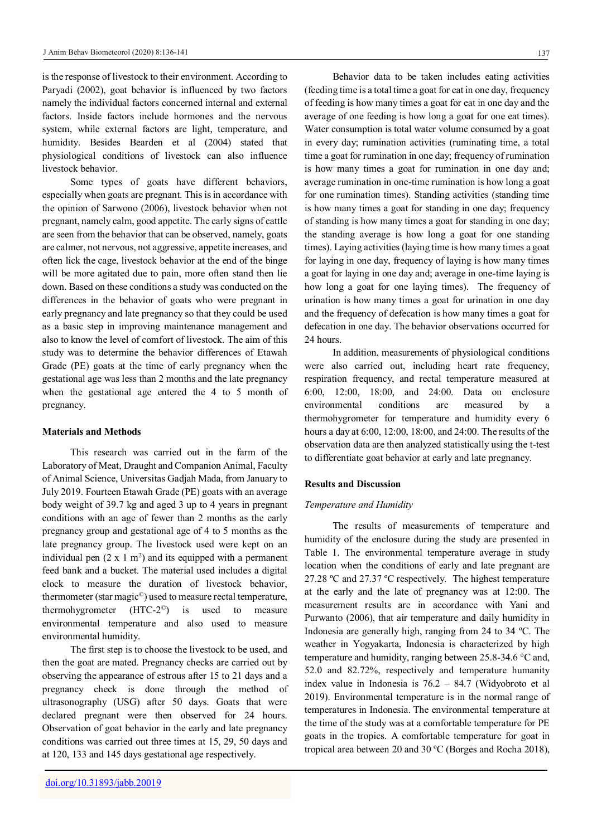is the response of livestock to their environment. According to Paryadi (2002), goat behavior is influenced by two factors namely the individual factors concerned internal and external factors. Inside factors include hormones and the nervous system, while external factors are light, temperature, and humidity. Besides Bearden et al (2004) stated that physiological conditions of livestock can also influence livestock behavior.

Some types of goats have different behaviors, especially when goats are pregnant. This is in accordance with the opinion of Sarwono (2006), livestock behavior when not pregnant, namely calm, good appetite. The early signs of cattle are seen from the behavior that can be observed, namely, goats are calmer, not nervous, not aggressive, appetite increases, and often lick the cage, livestock behavior at the end of the binge will be more agitated due to pain, more often stand then lie down. Based on these conditions a study was conducted on the differences in the behavior of goats who were pregnant in early pregnancy and late pregnancy so that they could be used as a basic step in improving maintenance management and also to know the level of comfort of livestock. The aim of this study was to determine the behavior differences of Etawah Grade (PE) goats at the time of early pregnancy when the gestational age was less than 2 months and the late pregnancy when the gestational age entered the 4 to 5 month of pregnancy.

#### **Materials and Methods**

This research was carried out in the farm of the Laboratory of Meat, Draught and Companion Animal, Faculty of Animal Science, Universitas Gadjah Mada, from January to July 2019. Fourteen Etawah Grade (PE) goats with an average body weight of 39.7 kg and aged 3 up to 4 years in pregnant conditions with an age of fewer than 2 months as the early pregnancy group and gestational age of 4 to 5 months as the late pregnancy group. The livestock used were kept on an individual pen  $(2 \times 1 \text{ m}^2)$  and its equipped with a permanent feed bank and a bucket. The material used includes a digital clock to measure the duration of livestock behavior, thermometer (star magic©) used to measure rectal temperature, thermohygrometer  $(HTC-2^{\circ})$  is used to measure environmental temperature and also used to measure environmental humidity.

The first step is to choose the livestock to be used, and then the goat are mated. Pregnancy checks are carried out by observing the appearance of estrous after 15 to 21 days and a pregnancy check is done through the method of ultrasonography (USG) after 50 days. Goats that were declared pregnant were then observed for 24 hours. Observation of goat behavior in the early and late pregnancy conditions was carried out three times at 15, 29, 50 days and at 120, 133 and 145 days gestational age respectively.

Behavior data to be taken includes eating activities (feeding time is a total time a goat for eat in one day, frequency of feeding is how many times a goat for eat in one day and the average of one feeding is how long a goat for one eat times). Water consumption is total water volume consumed by a goat in every day; rumination activities (ruminating time, a total time a goat for rumination in one day; frequency of rumination is how many times a goat for rumination in one day and; average rumination in one-time rumination is how long a goat for one rumination times). Standing activities (standing time is how many times a goat for standing in one day; frequency of standing is how many times a goat for standing in one day; the standing average is how long a goat for one standing times). Laying activities (laying time is how many times a goat for laying in one day, frequency of laying is how many times a goat for laying in one day and; average in one-time laying is how long a goat for one laying times). The frequency of urination is how many times a goat for urination in one day and the frequency of defecation is how many times a goat for defecation in one day. The behavior observations occurred for 24 hours.

In addition, measurements of physiological conditions were also carried out, including heart rate frequency, respiration frequency, and rectal temperature measured at 6:00, 12:00, 18:00, and 24:00. Data on enclosure environmental conditions are measured by a thermohygrometer for temperature and humidity every 6 hours a day at 6:00, 12:00, 18:00, and 24:00. The results of the observation data are then analyzed statistically using the t-test to differentiate goat behavior at early and late pregnancy.

## **Results and Discussion**

#### *Temperature and Humidity*

The results of measurements of temperature and humidity of the enclosure during the study are presented in Table 1. The environmental temperature average in study location when the conditions of early and late pregnant are 27.28 ºC and 27.37 ºC respectively. The highest temperature at the early and the late of pregnancy was at 12:00. The measurement results are in accordance with Yani and Purwanto (2006), that air temperature and daily humidity in Indonesia are generally high, ranging from 24 to 34 ºC. The weather in Yogyakarta, Indonesia is characterized by high temperature and humidity, ranging between 25.8-34.6 °C and, 52.0 and 82.72%, respectively and temperature humanity index value in Indonesia is 76.2 – 84.7 (Widyobroto et al 2019). Environmental temperature is in the normal range of temperatures in Indonesia. The environmental temperature at the time of the study was at a comfortable temperature for PE goats in the tropics. A comfortable temperature for goat in tropical area between 20 and 30 ºC (Borges and Rocha 2018),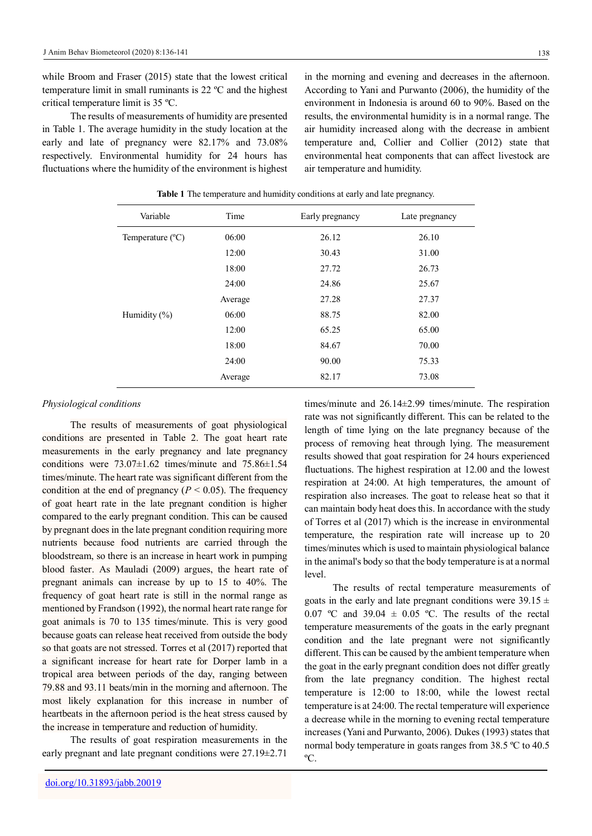while Broom and Fraser (2015) state that the lowest critical temperature limit in small ruminants is 22 ºC and the highest critical temperature limit is 35 ºC.

The results of measurements of humidity are presented in Table 1. The average humidity in the study location at the early and late of pregnancy were 82.17% and 73.08% respectively. Environmental humidity for 24 hours has fluctuations where the humidity of the environment is highest

in the morning and evening and decreases in the afternoon. According to Yani and Purwanto (2006), the humidity of the environment in Indonesia is around 60 to 90%. Based on the results, the environmental humidity is in a normal range. The air humidity increased along with the decrease in ambient temperature and, Collier and Collier (2012) state that environmental heat components that can affect livestock are air temperature and humidity.

| Variable                           | Time    | Early pregnancy | Late pregnancy |
|------------------------------------|---------|-----------------|----------------|
| 06:00<br>Temperature $(^{\circ}C)$ |         | 26.12           | 26.10          |
|                                    | 12:00   | 30.43           | 31.00          |
|                                    | 18:00   | 27.72           | 26.73          |
|                                    | 24:00   | 24.86           | 25.67          |
|                                    | Average | 27.28           | 27.37          |
| Humidity $(\% )$                   | 06:00   | 88.75           | 82.00          |
|                                    | 12:00   | 65.25           | 65.00          |
|                                    | 18:00   | 84.67           | 70.00          |
|                                    | 24:00   | 90.00           | 75.33          |
|                                    | Average | 82.17           | 73.08          |
|                                    |         |                 |                |

**Table 1** The temperature and humidity conditions at early and late pregnancy.

#### *Physiological conditions*

The results of measurements of goat physiological conditions are presented in Table 2. The goat heart rate measurements in the early pregnancy and late pregnancy conditions were  $73.07\pm1.62$  times/minute and  $75.86\pm1.54$ times/minute. The heart rate was significant different from the condition at the end of pregnancy ( $P < 0.05$ ). The frequency of goat heart rate in the late pregnant condition is higher compared to the early pregnant condition. This can be caused by pregnant does in the late pregnant condition requiring more nutrients because food nutrients are carried through the bloodstream, so there is an increase in heart work in pumping blood faster. As Mauladi (2009) argues, the heart rate of pregnant animals can increase by up to 15 to 40%. The frequency of goat heart rate is still in the normal range as mentioned by Frandson (1992), the normal heart rate range for goat animals is 70 to 135 times/minute. This is very good because goats can release heat received from outside the body so that goats are not stressed. Torres et al (2017) reported that a significant increase for heart rate for Dorper lamb in a tropical area between periods of the day, ranging between 79.88 and 93.11 beats/min in the morning and afternoon. The most likely explanation for this increase in number of heartbeats in the afternoon period is the heat stress caused by the increase in temperature and reduction of humidity.

The results of goat respiration measurements in the early pregnant and late pregnant conditions were 27.19±2.71

times/minute and 26.14±2.99 times/minute. The respiration rate was not significantly different. This can be related to the length of time lying on the late pregnancy because of the process of removing heat through lying. The measurement results showed that goat respiration for 24 hours experienced fluctuations. The highest respiration at 12.00 and the lowest respiration at 24:00. At high temperatures, the amount of respiration also increases. The goat to release heat so that it can maintain body heat does this. In accordance with the study of Torres et al (2017) which is the increase in environmental temperature, the respiration rate will increase up to 20 times/minutes which is used to maintain physiological balance in the animal's body so that the body temperature is at a normal level.

The results of rectal temperature measurements of goats in the early and late pregnant conditions were  $39.15 \pm$ 0.07 °C and 39.04  $\pm$  0.05 °C. The results of the rectal temperature measurements of the goats in the early pregnant condition and the late pregnant were not significantly different. This can be caused by the ambient temperature when the goat in the early pregnant condition does not differ greatly from the late pregnancy condition. The highest rectal temperature is 12:00 to 18:00, while the lowest rectal temperature is at 24:00. The rectal temperature will experience a decrease while in the morning to evening rectal temperature increases (Yani and Purwanto, 2006). Dukes (1993) states that normal body temperature in goats ranges from 38.5 ºC to 40.5 ºC.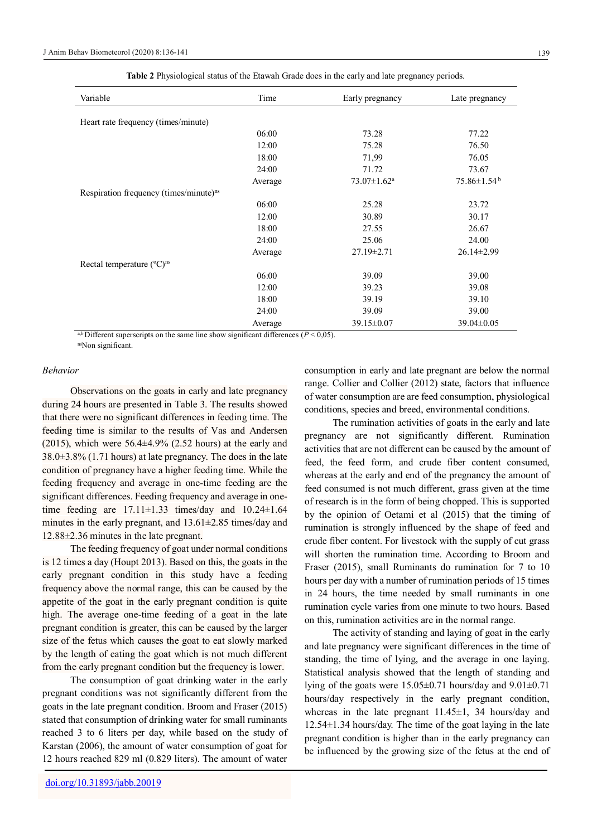| Variable                                           | Time    | Early pregnancy               | Late pregnancy                |
|----------------------------------------------------|---------|-------------------------------|-------------------------------|
|                                                    |         |                               |                               |
| Heart rate frequency (times/minute)                |         |                               |                               |
|                                                    | 06:00   | 73.28                         | 77.22                         |
|                                                    | 12:00   | 75.28                         | 76.50                         |
|                                                    | 18:00   | 71,99                         | 76.05                         |
|                                                    | 24:00   | 71.72                         | 73.67                         |
|                                                    | Average | $73.07 \pm 1.62$ <sup>a</sup> | $75.86 \pm 1.54$ <sup>b</sup> |
| Respiration frequency (times/minute) <sup>ns</sup> |         |                               |                               |
|                                                    | 06:00   | 25.28                         | 23.72                         |
|                                                    | 12:00   | 30.89                         | 30.17                         |
|                                                    | 18:00   | 27.55                         | 26.67                         |
|                                                    | 24:00   | 25.06                         | 24.00                         |
|                                                    | Average | $27.19 \pm 2.71$              | $26.14 \pm 2.99$              |
| Rectal temperature (°C) <sup>ns</sup>              |         |                               |                               |
|                                                    | 06:00   | 39.09                         | 39.00                         |
|                                                    | 12:00   | 39.23                         | 39.08                         |
|                                                    | 18:00   | 39.19                         | 39.10                         |
|                                                    | 24:00   | 39.09                         | 39.00                         |
|                                                    | Average | 39.15±0.07                    | $39.04 \pm 0.05$              |

**Table 2** Physiological status of the Etawah Grade does in the early and late pregnancy periods.

<sup>a,b</sup> Different superscripts on the same line show significant differences ( $P \le 0.05$ ).

nsNon significant.

## *Behavior*

Observations on the goats in early and late pregnancy during 24 hours are presented in Table 3. The results showed that there were no significant differences in feeding time. The feeding time is similar to the results of Vas and Andersen (2015), which were  $56.4 \pm 4.9\%$  (2.52 hours) at the early and 38.0±3.8% (1.71 hours) at late pregnancy. The does in the late condition of pregnancy have a higher feeding time. While the feeding frequency and average in one-time feeding are the significant differences. Feeding frequency and average in onetime feeding are  $17.11 \pm 1.33$  times/day and  $10.24 \pm 1.64$ minutes in the early pregnant, and 13.61±2.85 times/day and 12.88±2.36 minutes in the late pregnant.

The feeding frequency of goat under normal conditions is 12 times a day (Houpt 2013). Based on this, the goats in the early pregnant condition in this study have a feeding frequency above the normal range, this can be caused by the appetite of the goat in the early pregnant condition is quite high. The average one-time feeding of a goat in the late pregnant condition is greater, this can be caused by the larger size of the fetus which causes the goat to eat slowly marked by the length of eating the goat which is not much different from the early pregnant condition but the frequency is lower.

The consumption of goat drinking water in the early pregnant conditions was not significantly different from the goats in the late pregnant condition. Broom and Fraser (2015) stated that consumption of drinking water for small ruminants reached 3 to 6 liters per day, while based on the study of Karstan (2006), the amount of water consumption of goat for 12 hours reached 829 ml (0.829 liters). The amount of water

consumption in early and late pregnant are below the normal range. Collier and Collier (2012) state, factors that influence of water consumption are are feed consumption, physiological conditions, species and breed, environmental conditions.

The rumination activities of goats in the early and late pregnancy are not significantly different. Rumination activities that are not different can be caused by the amount of feed, the feed form, and crude fiber content consumed, whereas at the early and end of the pregnancy the amount of feed consumed is not much different, grass given at the time of research is in the form of being chopped. This is supported by the opinion of Oetami et al (2015) that the timing of rumination is strongly influenced by the shape of feed and crude fiber content. For livestock with the supply of cut grass will shorten the rumination time. According to Broom and Fraser (2015), small Ruminants do rumination for 7 to 10 hours per day with a number of rumination periods of 15 times in 24 hours, the time needed by small ruminants in one rumination cycle varies from one minute to two hours. Based on this, rumination activities are in the normal range.

The activity of standing and laying of goat in the early and late pregnancy were significant differences in the time of standing, the time of lying, and the average in one laying. Statistical analysis showed that the length of standing and lying of the goats were 15.05±0.71 hours/day and 9.01±0.71 hours/day respectively in the early pregnant condition, whereas in the late pregnant  $11.45\pm1$ , 34 hours/day and 12.54±1.34 hours/day. The time of the goat laying in the late pregnant condition is higher than in the early pregnancy can be influenced by the growing size of the fetus at the end of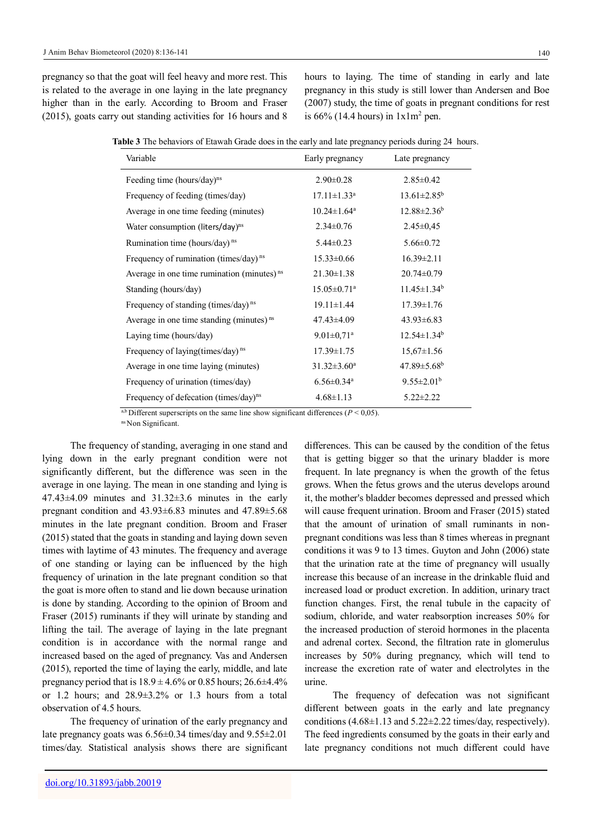pregnancy so that the goat will feel heavy and more rest. This is related to the average in one laying in the late pregnancy higher than in the early. According to Broom and Fraser (2015), goats carry out standing activities for 16 hours and 8

hours to laying. The time of standing in early and late pregnancy in this study is still lower than Andersen and Boe (2007) study, the time of goats in pregnant conditions for rest is  $66\%$  (14.4 hours) in  $1x1m^2$  pen.

| Table 3 The behaviors of Etawah Grade does in the early and late pregnancy periods during 24 hours. |  |  |  |  |  |
|-----------------------------------------------------------------------------------------------------|--|--|--|--|--|
|                                                                                                     |  |  |  |  |  |

| Variable                                               | Early pregnancy               | Late pregnancy                |  |
|--------------------------------------------------------|-------------------------------|-------------------------------|--|
| Feeding time (hours/day) <sup>ns</sup>                 | $2.90 \pm 0.28$               | $2.85 \pm 0.42$               |  |
| Frequency of feeding (times/day)                       | $17.11 \pm 1.33$ <sup>a</sup> | $13.61 \pm 2.85^b$            |  |
| Average in one time feeding (minutes)                  | $10.24 \pm 1.64$ <sup>a</sup> | $12.88 \pm 2.36^b$            |  |
| Water consumption (liters/day) <sup>ns</sup>           | $2.34 \pm 0.76$               | $2.45 \pm 0.45$               |  |
| Rumination time (hours/day) <sup>ns</sup>              | $5.44 \pm 0.23$               | $5.66 \pm 0.72$               |  |
| Frequency of rumination (times/day) <sup>ns</sup>      | $15.33 \pm 0.66$              | $16.39 \pm 2.11$              |  |
| Average in one time rumination (minutes) <sup>ns</sup> | $21.30 \pm 1.38$              | $20.74 \pm 0.79$              |  |
| Standing (hours/day)                                   | $15.05 \pm 0.71$ <sup>a</sup> | $11.45 \pm 1.34^b$            |  |
| Frequency of standing (times/day) <sup>ns</sup>        | $19.11 \pm 1.44$              | $17.39 \pm 1.76$              |  |
| Average in one time standing (minutes) <sup>ns</sup>   | 47.43±4.09                    | $43.93 \pm 6.83$              |  |
| Laying time (hours/day)                                | $9.01 \pm 0.71$ <sup>a</sup>  | $12.54 \pm 1.34^b$            |  |
| Frequency of laying (times/day) <sup>ns</sup>          | $17.39 \pm 1.75$              | $15,67 \pm 1.56$              |  |
| Average in one time laying (minutes)                   | $31.32 \pm 3.60^a$            | $47.89 \pm 5.68$ <sup>b</sup> |  |
| Frequency of urination (times/day)                     | $6.56 \pm 0.34$ <sup>a</sup>  | $9.55 \pm 2.01^b$             |  |
| Frequency of defecation (times/day) <sup>ns</sup>      | $4.68 \pm 1.13$               | $5.22 \pm 2.22$               |  |

<sup>a,b</sup> Different superscripts on the same line show significant differences ( $P < 0.05$ ).

ns Non Significant.

The frequency of standing, averaging in one stand and lying down in the early pregnant condition were not significantly different, but the difference was seen in the average in one laying. The mean in one standing and lying is  $47.43\pm4.09$  minutes and  $31.32\pm3.6$  minutes in the early pregnant condition and 43.93±6.83 minutes and 47.89±5.68 minutes in the late pregnant condition. Broom and Fraser (2015) stated that the goats in standing and laying down seven times with laytime of 43 minutes. The frequency and average of one standing or laying can be influenced by the high frequency of urination in the late pregnant condition so that the goat is more often to stand and lie down because urination is done by standing. According to the opinion of Broom and Fraser (2015) ruminants if they will urinate by standing and lifting the tail. The average of laying in the late pregnant condition is in accordance with the normal range and increased based on the aged of pregnancy. Vas and Andersen (2015), reported the time of laying the early, middle, and late pregnancy period that is  $18.9 \pm 4.6\%$  or 0.85 hours; 26.6 $\pm 4.4\%$ or 1.2 hours; and 28.9±3.2% or 1.3 hours from a total observation of 4.5 hours.

The frequency of urination of the early pregnancy and late pregnancy goats was 6.56±0.34 times/day and 9.55±2.01 times/day. Statistical analysis shows there are significant

differences. This can be caused by the condition of the fetus that is getting bigger so that the urinary bladder is more frequent. In late pregnancy is when the growth of the fetus grows. When the fetus grows and the uterus develops around it, the mother's bladder becomes depressed and pressed which will cause frequent urination. Broom and Fraser (2015) stated that the amount of urination of small ruminants in nonpregnant conditions was less than 8 times whereas in pregnant conditions it was 9 to 13 times. Guyton and John (2006) state that the urination rate at the time of pregnancy will usually increase this because of an increase in the drinkable fluid and increased load or product excretion. In addition, urinary tract function changes. First, the renal tubule in the capacity of sodium, chloride, and water reabsorption increases 50% for the increased production of steroid hormones in the placenta and adrenal cortex. Second, the filtration rate in glomerulus increases by 50% during pregnancy, which will tend to increase the excretion rate of water and electrolytes in the urine.

The frequency of defecation was not significant different between goats in the early and late pregnancy conditions  $(4.68\pm1.13 \text{ and } 5.22\pm2.22 \text{ times/day, respectively}).$ The feed ingredients consumed by the goats in their early and late pregnancy conditions not much different could have